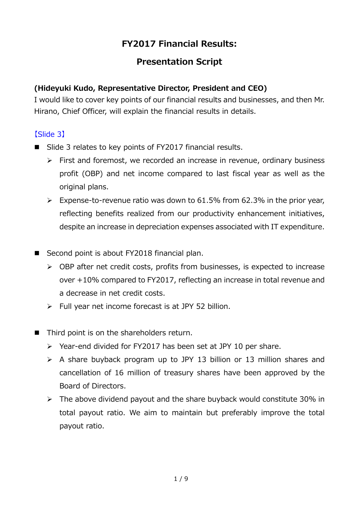# **FY2017 Financial Results:**

## **Presentation Script**

### **(Hideyuki Kudo, Representative Director, President and CEO)**

I would like to cover key points of our financial results and businesses, and then Mr. Hirano, Chief Officer, will explain the financial results in details.

### 【Slide 3】

- Slide 3 relates to key points of FY2017 financial results.
	- $\triangleright$  First and foremost, we recorded an increase in revenue, ordinary business profit (OBP) and net income compared to last fiscal year as well as the original plans.
	- $\triangleright$  Expense-to-revenue ratio was down to 61.5% from 62.3% in the prior year, reflecting benefits realized from our productivity enhancement initiatives, despite an increase in depreciation expenses associated with IT expenditure.
- Second point is about FY2018 financial plan.
	- $\triangleright$  OBP after net credit costs, profits from businesses, is expected to increase over +10% compared to FY2017, reflecting an increase in total revenue and a decrease in net credit costs.
	- $\triangleright$  Full year net income forecast is at JPY 52 billion.
- Third point is on the shareholders return.
	- $\triangleright$  Year-end divided for FY2017 has been set at JPY 10 per share.
	- $\triangleright$  A share buyback program up to JPY 13 billion or 13 million shares and cancellation of 16 million of treasury shares have been approved by the Board of Directors.
	- $\triangleright$  The above dividend payout and the share buyback would constitute 30% in total payout ratio. We aim to maintain but preferably improve the total payout ratio.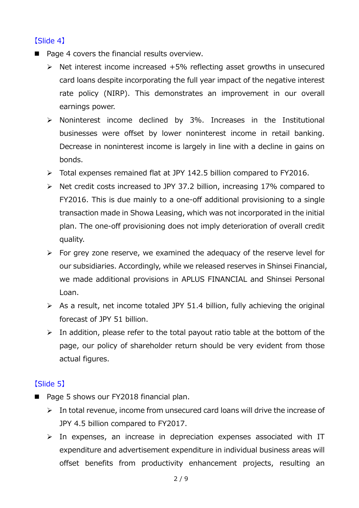### 【Slide 4】

- $\blacksquare$  Page 4 covers the financial results overview.
	- $\triangleright$  Net interest income increased +5% reflecting asset growths in unsecured card loans despite incorporating the full year impact of the negative interest rate policy (NIRP). This demonstrates an improvement in our overall earnings power.
	- Noninterest income declined by 3%. Increases in the Institutional businesses were offset by lower noninterest income in retail banking. Decrease in noninterest income is largely in line with a decline in gains on bonds.
	- Total expenses remained flat at JPY 142.5 billion compared to FY2016.
	- $\triangleright$  Net credit costs increased to JPY 37.2 billion, increasing 17% compared to FY2016. This is due mainly to a one-off additional provisioning to a single transaction made in Showa Leasing, which was not incorporated in the initial plan. The one-off provisioning does not imply deterioration of overall credit quality.
	- $\triangleright$  For grey zone reserve, we examined the adequacy of the reserve level for our subsidiaries. Accordingly, while we released reserves in Shinsei Financial, we made additional provisions in APLUS FINANCIAL and Shinsei Personal Loan.
	- $\triangleright$  As a result, net income totaled JPY 51.4 billion, fully achieving the original forecast of JPY 51 billion.
	- $\triangleright$  In addition, please refer to the total payout ratio table at the bottom of the page, our policy of shareholder return should be very evident from those actual figures.

## 【Slide 5】

- Page 5 shows our FY2018 financial plan.
	- $\triangleright$  In total revenue, income from unsecured card loans will drive the increase of JPY 4.5 billion compared to FY2017.
	- $\triangleright$  In expenses, an increase in depreciation expenses associated with IT expenditure and advertisement expenditure in individual business areas will offset benefits from productivity enhancement projects, resulting an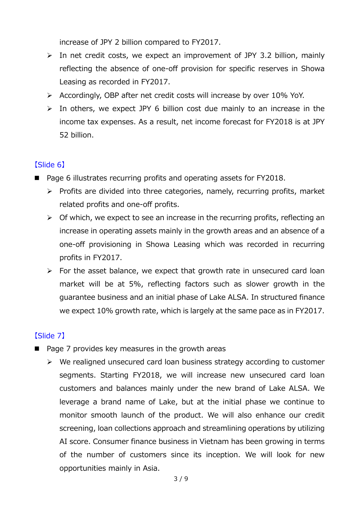increase of JPY 2 billion compared to FY2017.

- $\triangleright$  In net credit costs, we expect an improvement of JPY 3.2 billion, mainly reflecting the absence of one-off provision for specific reserves in Showa Leasing as recorded in FY2017.
- Accordingly, OBP after net credit costs will increase by over 10% YoY.
- $\triangleright$  In others, we expect JPY 6 billion cost due mainly to an increase in the income tax expenses. As a result, net income forecast for FY2018 is at JPY 52 billion.

### 【Slide 6】

- Page 6 illustrates recurring profits and operating assets for FY2018.
	- $\triangleright$  Profits are divided into three categories, namely, recurring profits, market related profits and one-off profits.
	- $\triangleright$  Of which, we expect to see an increase in the recurring profits, reflecting an increase in operating assets mainly in the growth areas and an absence of a one-off provisioning in Showa Leasing which was recorded in recurring profits in FY2017.
	- $\triangleright$  For the asset balance, we expect that growth rate in unsecured card loan market will be at 5%, reflecting factors such as slower growth in the guarantee business and an initial phase of Lake ALSA. In structured finance we expect 10% growth rate, which is largely at the same pace as in FY2017.

## 【Slide 7】

- $\blacksquare$  Page 7 provides key measures in the growth areas
	- $\triangleright$  We realigned unsecured card loan business strategy according to customer segments. Starting FY2018, we will increase new unsecured card loan customers and balances mainly under the new brand of Lake ALSA. We leverage a brand name of Lake, but at the initial phase we continue to monitor smooth launch of the product. We will also enhance our credit screening, loan collections approach and streamlining operations by utilizing AI score. Consumer finance business in Vietnam has been growing in terms of the number of customers since its inception. We will look for new opportunities mainly in Asia.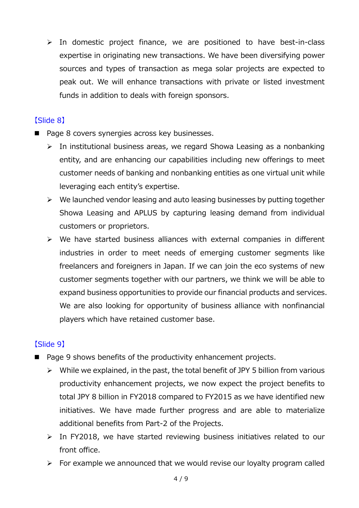$\triangleright$  In domestic project finance, we are positioned to have best-in-class expertise in originating new transactions. We have been diversifying power sources and types of transaction as mega solar projects are expected to peak out. We will enhance transactions with private or listed investment funds in addition to deals with foreign sponsors.

### 【Slide 8】

- Page 8 covers synergies across key businesses.
	- $\triangleright$  In institutional business areas, we regard Showa Leasing as a nonbanking entity, and are enhancing our capabilities including new offerings to meet customer needs of banking and nonbanking entities as one virtual unit while leveraging each entity's expertise.
	- $\triangleright$  We launched vendor leasing and auto leasing businesses by putting together Showa Leasing and APLUS by capturing leasing demand from individual customers or proprietors.
	- $\triangleright$  We have started business alliances with external companies in different industries in order to meet needs of emerging customer segments like freelancers and foreigners in Japan. If we can join the eco systems of new customer segments together with our partners, we think we will be able to expand business opportunities to provide our financial products and services. We are also looking for opportunity of business alliance with nonfinancial players which have retained customer base.

## 【Slide 9】

- Page 9 shows benefits of the productivity enhancement projects.
	- $\triangleright$  While we explained, in the past, the total benefit of JPY 5 billion from various productivity enhancement projects, we now expect the project benefits to total JPY 8 billion in FY2018 compared to FY2015 as we have identified new initiatives. We have made further progress and are able to materialize additional benefits from Part-2 of the Projects.
	- $\triangleright$  In FY2018, we have started reviewing business initiatives related to our front office.
	- $\triangleright$  For example we announced that we would revise our loyalty program called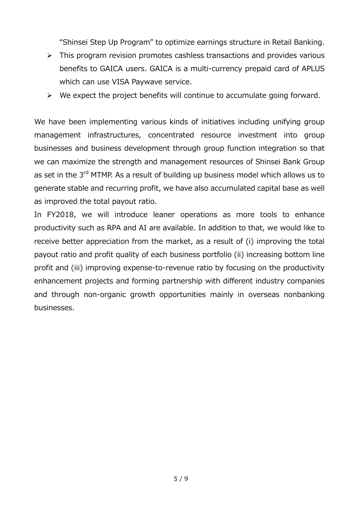"Shinsei Step Up Program" to optimize earnings structure in Retail Banking.

- $\triangleright$  This program revision promotes cashless transactions and provides various benefits to GAICA users. GAICA is a multi-currency prepaid card of APLUS which can use VISA Paywave service.
- $\triangleright$  We expect the project benefits will continue to accumulate going forward.

We have been implementing various kinds of initiatives including unifying group management infrastructures, concentrated resource investment into group businesses and business development through group function integration so that we can maximize the strength and management resources of Shinsei Bank Group as set in the 3<sup>rd</sup> MTMP. As a result of building up business model which allows us to generate stable and recurring profit, we have also accumulated capital base as well as improved the total payout ratio.

In FY2018, we will introduce leaner operations as more tools to enhance productivity such as RPA and AI are available. In addition to that, we would like to receive better appreciation from the market, as a result of (i) improving the total payout ratio and profit quality of each business portfolio (ii) increasing bottom line profit and (iii) improving expense-to-revenue ratio by focusing on the productivity enhancement projects and forming partnership with different industry companies and through non-organic growth opportunities mainly in overseas nonbanking businesses.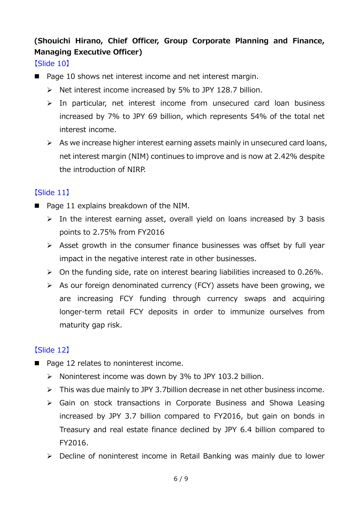# **(Shouichi Hirano, Chief Officer, Group Corporate Planning and Finance, Managing Executive Officer)**

【Slide 10】

- Page 10 shows net interest income and net interest margin.
	- $\triangleright$  Net interest income increased by 5% to JPY 128.7 billion.
	- $\triangleright$  In particular, net interest income from unsecured card loan business increased by 7% to JPY 69 billion, which represents 54% of the total net interest income.
	- $\triangleright$  As we increase higher interest earning assets mainly in unsecured card loans, net interest margin (NIM) continues to improve and is now at 2.42% despite the introduction of NIRP.

## 【Slide 11】

- Page 11 explains breakdown of the NIM.
	- $\triangleright$  In the interest earning asset, overall yield on loans increased by 3 basis points to 2.75% from FY2016
	- $\triangleright$  Asset growth in the consumer finance businesses was offset by full year impact in the negative interest rate in other businesses.
	- $\triangleright$  On the funding side, rate on interest bearing liabilities increased to 0.26%.
	- $\triangleright$  As our foreign denominated currency (FCY) assets have been growing, we are increasing FCY funding through currency swaps and acquiring longer-term retail FCY deposits in order to immunize ourselves from maturity gap risk.

## 【Slide 12】

- Page 12 relates to noninterest income.
	- $\triangleright$  Noninterest income was down by 3% to JPY 103.2 billion.
	- $\triangleright$  This was due mainly to JPY 3.7billion decrease in net other business income.
	- Gain on stock transactions in Corporate Business and Showa Leasing increased by JPY 3.7 billion compared to FY2016, but gain on bonds in Treasury and real estate finance declined by JPY 6.4 billion compared to FY2016.
	- Decline of noninterest income in Retail Banking was mainly due to lower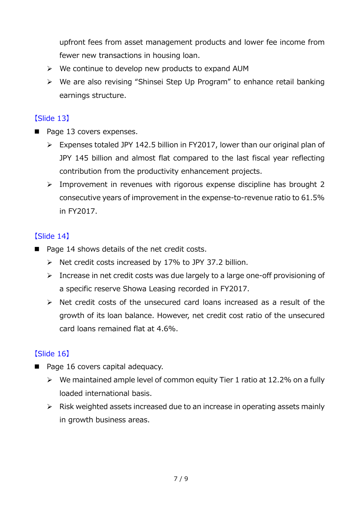upfront fees from asset management products and lower fee income from fewer new transactions in housing loan.

- $\triangleright$  We continue to develop new products to expand AUM
- $\triangleright$  We are also revising "Shinsei Step Up Program" to enhance retail banking earnings structure.

### 【Slide 13】

- Page 13 covers expenses.
	- Expenses totaled JPY 142.5 billion in FY2017, lower than our original plan of JPY 145 billion and almost flat compared to the last fiscal year reflecting contribution from the productivity enhancement projects.
	- $\triangleright$  Improvement in revenues with rigorous expense discipline has brought 2 consecutive years of improvement in the expense-to-revenue ratio to 61.5% in FY2017.

### 【Slide 14】

- Page 14 shows details of the net credit costs.
	- $\triangleright$  Net credit costs increased by 17% to JPY 37.2 billion.
	- > Increase in net credit costs was due largely to a large one-off provisioning of a specific reserve Showa Leasing recorded in FY2017.
	- $\triangleright$  Net credit costs of the unsecured card loans increased as a result of the growth of its loan balance. However, net credit cost ratio of the unsecured card loans remained flat at 4.6%.

## 【Slide 16】

- Page 16 covers capital adequacy.
	- $\triangleright$  We maintained ample level of common equity Tier 1 ratio at 12.2% on a fully loaded international basis.
	- $\triangleright$  Risk weighted assets increased due to an increase in operating assets mainly in growth business areas.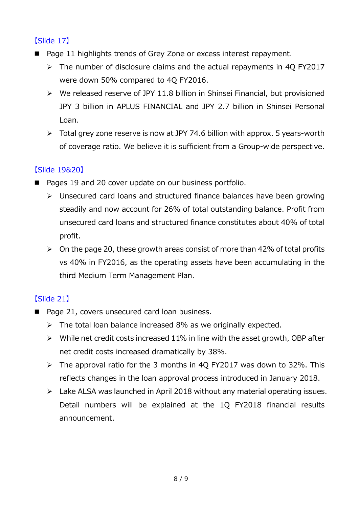### 【Slide 17】

- Page 11 highlights trends of Grey Zone or excess interest repayment.
	- $\triangleright$  The number of disclosure claims and the actual repayments in 4Q FY2017 were down 50% compared to 4Q FY2016.
	- $\triangleright$  We released reserve of JPY 11.8 billion in Shinsei Financial, but provisioned JPY 3 billion in APLUS FINANCIAL and JPY 2.7 billion in Shinsei Personal Loan.
	- $\triangleright$  Total grey zone reserve is now at JPY 74.6 billion with approx. 5 years-worth of coverage ratio. We believe it is sufficient from a Group-wide perspective.

## 【Slide 19&20】

- Pages 19 and 20 cover update on our business portfolio.
	- $\triangleright$  Unsecured card loans and structured finance balances have been growing steadily and now account for 26% of total outstanding balance. Profit from unsecured card loans and structured finance constitutes about 40% of total profit.
	- $\geq$  On the page 20, these growth areas consist of more than 42% of total profits vs 40% in FY2016, as the operating assets have been accumulating in the third Medium Term Management Plan.

## 【Slide 21】

- Page 21, covers unsecured card loan business.
	- $\triangleright$  The total loan balance increased 8% as we originally expected.
	- $\triangleright$  While net credit costs increased 11% in line with the asset growth, OBP after net credit costs increased dramatically by 38%.
	- $\triangleright$  The approval ratio for the 3 months in 4Q FY2017 was down to 32%. This reflects changes in the loan approval process introduced in January 2018.
	- > Lake ALSA was launched in April 2018 without any material operating issues. Detail numbers will be explained at the 1Q FY2018 financial results announcement.